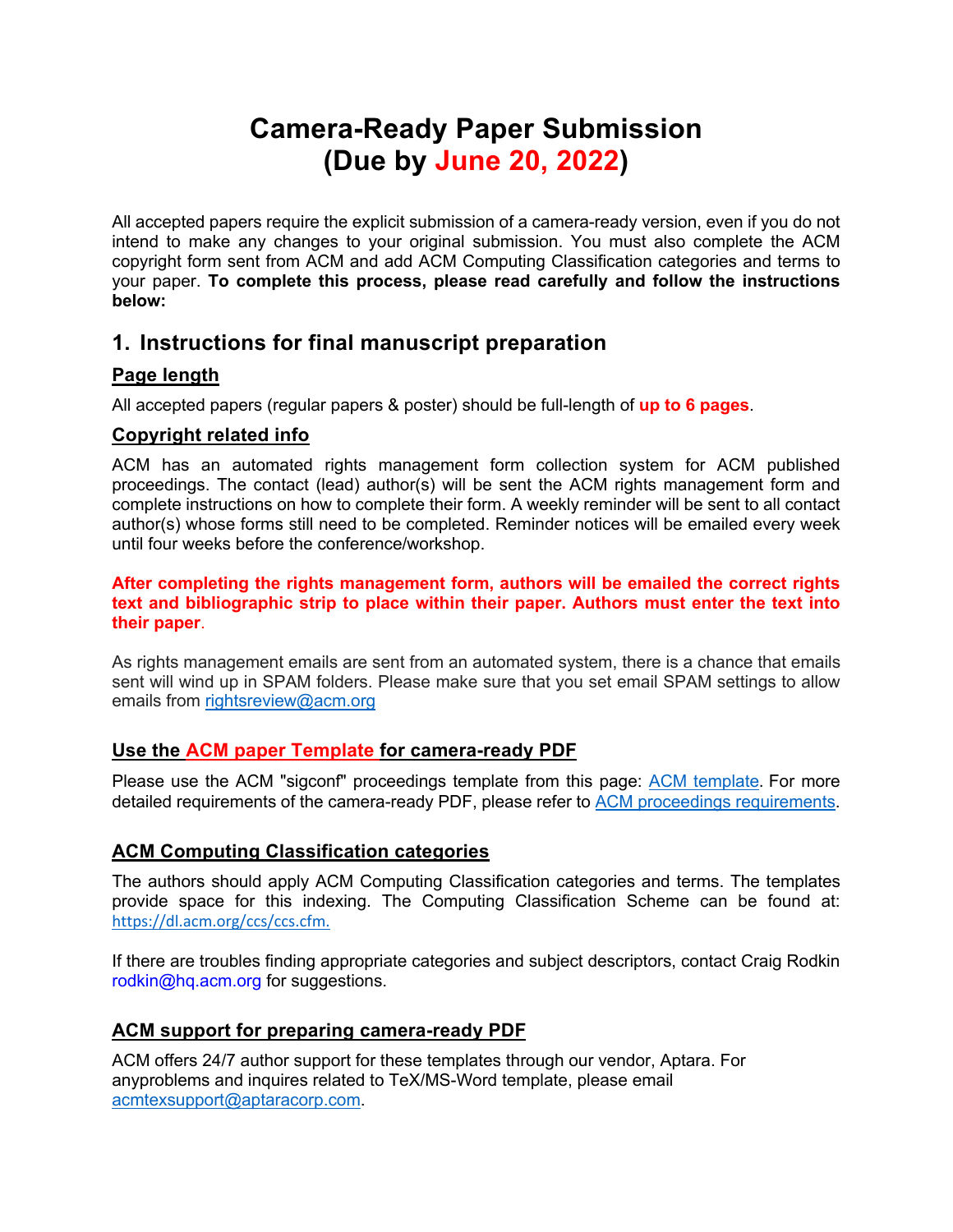# **Camera-Ready Paper Submission (Due by June 20, 2022)**

All accepted papers require the explicit submission of a camera-ready version, even if you do not intend to make any changes to your original submission. You must also complete the ACM copyright form sent from ACM and add ACM Computing Classification categories and terms to your paper. **To complete this process, please read carefully and follow the instructions below:**

### **1. Instructions for final manuscript preparation**

#### **Page length**

All accepted papers (regular papers & poster) should be full-length of **up to 6 pages**.

#### **Copyright related info**

ACM has an automated rights management form collection system for ACM published proceedings. The contact (lead) author(s) will be sent the ACM rights management form and complete instructions on how to complete their form. A weekly reminder will be sent to all contact author(s) whose forms still need to be completed. Reminder notices will be emailed every week until four weeks before the conference/workshop.

**After completing the rights management form, authors will be emailed the correct rights text and bibliographic strip to place within their paper. Authors must enter the text into their paper**.

As rights management emails are sent from an automated system, there is a chance that emails sent will wind up in SPAM folders. Please make sure that you set email SPAM settings to allow emails from rightsreview@acm.org

#### **Use the ACM paper Template for camera-ready PDF**

Please use the ACM "sigconf" proceedings template from this page: ACM template. For more detailed requirements of the camera-ready PDF, please refer to ACM proceedings requirements.

#### **ACM Computing Classification categories**

The authors should apply ACM Computing Classification categories and terms. The templates provide space for this indexing. The Computing Classification Scheme can be found at: https://dl.acm.org/ccs/ccs.cfm.

If there are troubles finding appropriate categories and subject descriptors, contact Craig Rodkin rodkin@hq.acm.org for suggestions.

#### **ACM support for preparing camera-ready PDF**

ACM offers 24/7 author support for these templates through our vendor, Aptara. For anyproblems and inquires related to TeX/MS-Word template, please email acmtexsupport@aptaracorp.com.